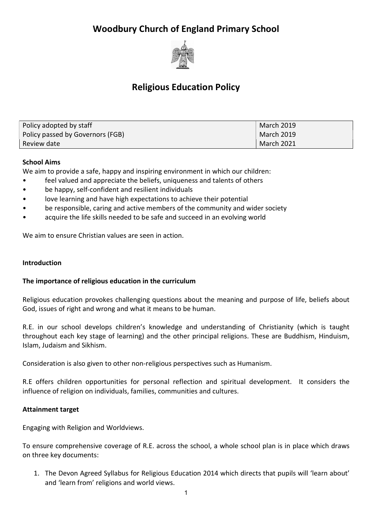# Woodbury Church of England Primary School



# Religious Education Policy

| Policy adopted by staff          | <b>March 2019</b> |
|----------------------------------|-------------------|
| Policy passed by Governors (FGB) | March 2019        |
| Review date                      | <b>March 2021</b> |

# School Aims

We aim to provide a safe, happy and inspiring environment in which our children:

- feel valued and appreciate the beliefs, uniqueness and talents of others
- be happy, self-confident and resilient individuals
- love learning and have high expectations to achieve their potential
- be responsible, caring and active members of the community and wider society
- acquire the life skills needed to be safe and succeed in an evolving world

We aim to ensure Christian values are seen in action.

#### Introduction

## The importance of religious education in the curriculum

Religious education provokes challenging questions about the meaning and purpose of life, beliefs about God, issues of right and wrong and what it means to be human.

R.E. in our school develops children's knowledge and understanding of Christianity (which is taught throughout each key stage of learning) and the other principal religions. These are Buddhism, Hinduism, Islam, Judaism and Sikhism.

Consideration is also given to other non-religious perspectives such as Humanism.

R.E offers children opportunities for personal reflection and spiritual development. It considers the influence of religion on individuals, families, communities and cultures.

## Attainment target

Engaging with Religion and Worldviews.

To ensure comprehensive coverage of R.E. across the school, a whole school plan is in place which draws on three key documents:

1. The Devon Agreed Syllabus for Religious Education 2014 which directs that pupils will 'learn about' and 'learn from' religions and world views.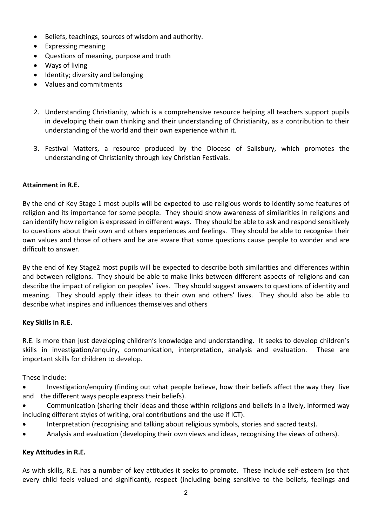- Beliefs, teachings, sources of wisdom and authority.
- Expressing meaning
- Questions of meaning, purpose and truth
- Ways of living
- Identity; diversity and belonging
- Values and commitments
- 2. Understanding Christianity, which is a comprehensive resource helping all teachers support pupils in developing their own thinking and their understanding of Christianity, as a contribution to their understanding of the world and their own experience within it.
- 3. Festival Matters, a resource produced by the Diocese of Salisbury, which promotes the understanding of Christianity through key Christian Festivals.

# Attainment in R.E.

By the end of Key Stage 1 most pupils will be expected to use religious words to identify some features of religion and its importance for some people. They should show awareness of similarities in religions and can identify how religion is expressed in different ways. They should be able to ask and respond sensitively to questions about their own and others experiences and feelings. They should be able to recognise their own values and those of others and be are aware that some questions cause people to wonder and are difficult to answer.

By the end of Key Stage2 most pupils will be expected to describe both similarities and differences within and between religions. They should be able to make links between different aspects of religions and can describe the impact of religion on peoples' lives. They should suggest answers to questions of identity and meaning. They should apply their ideas to their own and others' lives. They should also be able to describe what inspires and influences themselves and others

## Key Skills in R.E.

R.E. is more than just developing children's knowledge and understanding. It seeks to develop children's skills in investigation/enquiry, communication, interpretation, analysis and evaluation. These are important skills for children to develop.

These include:

- Investigation/enquiry (finding out what people believe, how their beliefs affect the way they live and the different ways people express their beliefs).
- Communication (sharing their ideas and those within religions and beliefs in a lively, informed way including different styles of writing, oral contributions and the use if ICT).
- Interpretation (recognising and talking about religious symbols, stories and sacred texts).
- Analysis and evaluation (developing their own views and ideas, recognising the views of others).

## Key Attitudes in R.E.

As with skills, R.E. has a number of key attitudes it seeks to promote. These include self-esteem (so that every child feels valued and significant), respect (including being sensitive to the beliefs, feelings and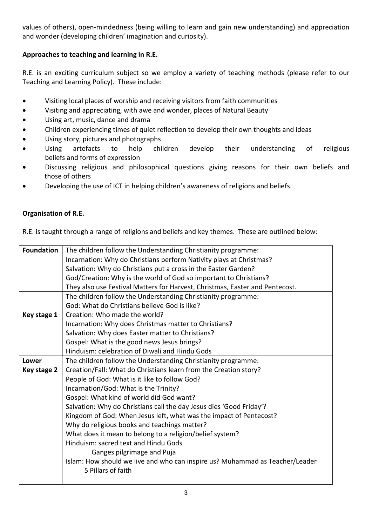values of others), open-mindedness (being willing to learn and gain new understanding) and appreciation and wonder (developing children' imagination and curiosity).

# Approaches to teaching and learning in R.E.

R.E. is an exciting curriculum subject so we employ a variety of teaching methods (please refer to our Teaching and Learning Policy). These include:

- Visiting local places of worship and receiving visitors from faith communities
- Visiting and appreciating, with awe and wonder, places of Natural Beauty
- Using art, music, dance and drama
- Children experiencing times of quiet reflection to develop their own thoughts and ideas
- Using story, pictures and photographs
- Using artefacts to help children develop their understanding of religious beliefs and forms of expression
- Discussing religious and philosophical questions giving reasons for their own beliefs and those of others
- Developing the use of ICT in helping children's awareness of religions and beliefs.

# Organisation of R.E.

R.E. is taught through a range of religions and beliefs and key themes. These are outlined below:

| <b>Foundation</b> | The children follow the Understanding Christianity programme:                |
|-------------------|------------------------------------------------------------------------------|
|                   | Incarnation: Why do Christians perform Nativity plays at Christmas?          |
|                   | Salvation: Why do Christians put a cross in the Easter Garden?               |
|                   | God/Creation: Why is the world of God so important to Christians?            |
|                   | They also use Festival Matters for Harvest, Christmas, Easter and Pentecost. |
|                   | The children follow the Understanding Christianity programme:                |
|                   | God: What do Christians believe God is like?                                 |
| Key stage 1       | Creation: Who made the world?                                                |
|                   | Incarnation: Why does Christmas matter to Christians?                        |
|                   | Salvation: Why does Easter matter to Christians?                             |
|                   | Gospel: What is the good news Jesus brings?                                  |
|                   | Hinduism: celebration of Diwali and Hindu Gods                               |
| Lower             | The children follow the Understanding Christianity programme:                |
| Key stage 2       | Creation/Fall: What do Christians learn from the Creation story?             |
|                   | People of God: What is it like to follow God?                                |
|                   | Incarnation/God: What is the Trinity?                                        |
|                   | Gospel: What kind of world did God want?                                     |
|                   | Salvation: Why do Christians call the day Jesus dies 'Good Friday'?          |
|                   | Kingdom of God: When Jesus left, what was the impact of Pentecost?           |
|                   | Why do religious books and teachings matter?                                 |
|                   | What does it mean to belong to a religion/belief system?                     |
|                   | Hinduism: sacred text and Hindu Gods                                         |
|                   | Ganges pilgrimage and Puja                                                   |
|                   | Islam: How should we live and who can inspire us? Muhammad as Teacher/Leader |
|                   | 5 Pillars of faith                                                           |
|                   |                                                                              |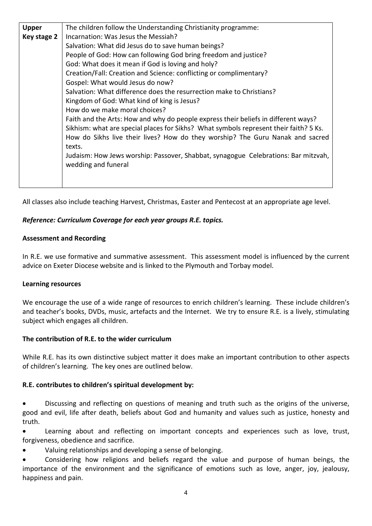| <b>Upper</b> | The children follow the Understanding Christianity programme:                         |
|--------------|---------------------------------------------------------------------------------------|
| Key stage 2  | Incarnation: Was Jesus the Messiah?                                                   |
|              | Salvation: What did Jesus do to save human beings?                                    |
|              | People of God: How can following God bring freedom and justice?                       |
|              | God: What does it mean if God is loving and holy?                                     |
|              | Creation/Fall: Creation and Science: conflicting or complimentary?                    |
|              | Gospel: What would Jesus do now?                                                      |
|              | Salvation: What difference does the resurrection make to Christians?                  |
|              | Kingdom of God: What kind of king is Jesus?                                           |
|              | How do we make moral choices?                                                         |
|              | Faith and the Arts: How and why do people express their beliefs in different ways?    |
|              | Sikhism: what are special places for Sikhs? What symbols represent their faith? 5 Ks. |
|              | How do Sikhs live their lives? How do they worship? The Guru Nanak and sacred         |
|              | texts.                                                                                |
|              | Judaism: How Jews worship: Passover, Shabbat, synagogue Celebrations: Bar mitzvah,    |
|              | wedding and funeral                                                                   |
|              |                                                                                       |
|              |                                                                                       |

All classes also include teaching Harvest, Christmas, Easter and Pentecost at an appropriate age level.

## Reference: Curriculum Coverage for each year groups R.E. topics.

## Assessment and Recording

In R.E. we use formative and summative assessment. This assessment model is influenced by the current advice on Exeter Diocese website and is linked to the Plymouth and Torbay model.

## Learning resources

We encourage the use of a wide range of resources to enrich children's learning. These include children's and teacher's books, DVDs, music, artefacts and the Internet. We try to ensure R.E. is a lively, stimulating subject which engages all children.

## The contribution of R.E. to the wider curriculum

While R.E. has its own distinctive subject matter it does make an important contribution to other aspects of children's learning. The key ones are outlined below.

## R.E. contributes to children's spiritual development by:

 Discussing and reflecting on questions of meaning and truth such as the origins of the universe, good and evil, life after death, beliefs about God and humanity and values such as justice, honesty and truth.

 Learning about and reflecting on important concepts and experiences such as love, trust, forgiveness, obedience and sacrifice.

Valuing relationships and developing a sense of belonging.

 Considering how religions and beliefs regard the value and purpose of human beings, the importance of the environment and the significance of emotions such as love, anger, joy, jealousy, happiness and pain.